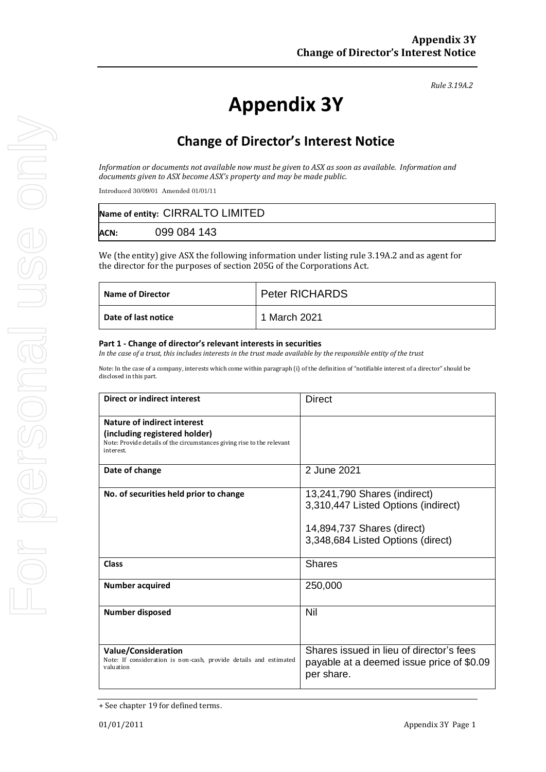*Rule 3.19A.2*

# **Appendix 3Y**

# **Change of Director's Interest Notice**

*Information or documents not available now must be given to ASX as soon as available. Information and documents given to ASX become ASX's property and may be made public.*

Introduced 30/09/01 Amended 01/01/11

| Name of entity: CIRRALTO LIMITED |             |  |
|----------------------------------|-------------|--|
| <b>ACN:</b>                      | 099 084 143 |  |

We (the entity) give ASX the following information under listing rule 3.19A.2 and as agent for the director for the purposes of section 205G of the Corporations Act.

| Name of Director    | <b>Peter RICHARDS</b> |
|---------------------|-----------------------|
| Date of last notice | 1 March 2021          |

#### **Part 1 - Change of director's relevant interests in securities**

*In the case of a trust, this includes interests in the trust made available by the responsible entity of the trust*

Note: In the case of a company, interests which come within paragraph (i) of the definition of "notifiable interest of a director" should be disclosed in this part.

| Direct or indirect interest                                                                                                                         | <b>Direct</b>                                                                                                                          |  |
|-----------------------------------------------------------------------------------------------------------------------------------------------------|----------------------------------------------------------------------------------------------------------------------------------------|--|
| Nature of indirect interest<br>(including registered holder)<br>Note: Provide details of the circumstances giving rise to the relevant<br>interest. |                                                                                                                                        |  |
| Date of change                                                                                                                                      | 2 June 2021                                                                                                                            |  |
| No. of securities held prior to change                                                                                                              | 13,241,790 Shares (indirect)<br>3,310,447 Listed Options (indirect)<br>14,894,737 Shares (direct)<br>3,348,684 Listed Options (direct) |  |
| <b>Class</b>                                                                                                                                        | <b>Shares</b>                                                                                                                          |  |
| <b>Number acquired</b>                                                                                                                              | 250,000                                                                                                                                |  |
| <b>Number disposed</b>                                                                                                                              | Nil                                                                                                                                    |  |
| <b>Value/Consideration</b><br>Note: If consideration is non-cash, provide details and estimated<br>valuation                                        | Shares issued in lieu of director's fees<br>payable at a deemed issue price of \$0.09<br>per share.                                    |  |

<sup>+</sup> See chapter 19 for defined terms.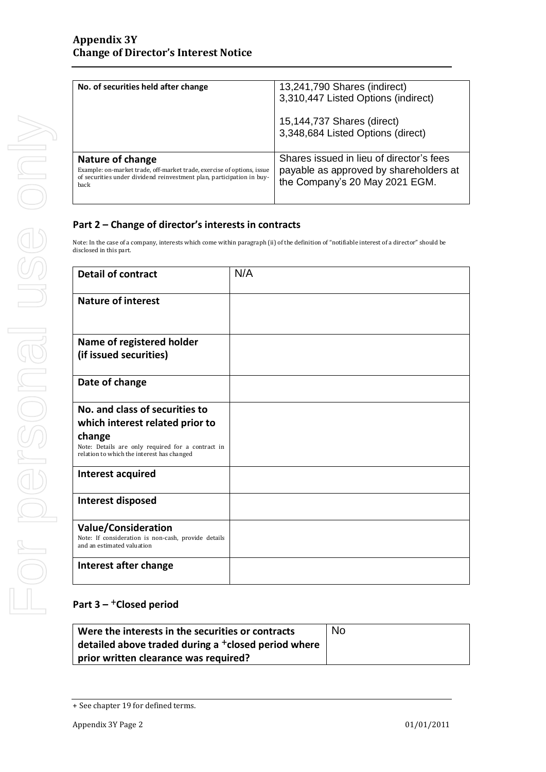| No. of securities held after change                                                                                                                                         | 13,241,790 Shares (indirect)                                                                                         |
|-----------------------------------------------------------------------------------------------------------------------------------------------------------------------------|----------------------------------------------------------------------------------------------------------------------|
|                                                                                                                                                                             | 3,310,447 Listed Options (indirect)                                                                                  |
|                                                                                                                                                                             | 15,144,737 Shares (direct)<br>3,348,684 Listed Options (direct)                                                      |
| Nature of change<br>Example: on-market trade, off-market trade, exercise of options, issue<br>of securities under dividend reinvestment plan, participation in buy-<br>back | Shares issued in lieu of director's fees<br>payable as approved by shareholders at<br>the Company's 20 May 2021 EGM. |

### **Part 2 – Change of director's interests in contracts**

Note: In the case of a company, interests which come within paragraph (ii) of the definition of "notifiable interest of a director" should be disclosed in this part.

| <b>Detail of contract</b>                                                                                       | N/A |
|-----------------------------------------------------------------------------------------------------------------|-----|
| <b>Nature of interest</b>                                                                                       |     |
|                                                                                                                 |     |
| Name of registered holder                                                                                       |     |
| (if issued securities)                                                                                          |     |
| Date of change                                                                                                  |     |
| No. and class of securities to                                                                                  |     |
| which interest related prior to                                                                                 |     |
| change<br>Note: Details are only required for a contract in<br>relation to which the interest has changed       |     |
| Interest acquired                                                                                               |     |
| Interest disposed                                                                                               |     |
| <b>Value/Consideration</b><br>Note: If consideration is non-cash, provide details<br>and an estimated valuation |     |
| Interest after change                                                                                           |     |

## **Part 3 –** +**Closed period**

| Were the interests in the securities or contracts       | <b>No</b> |
|---------------------------------------------------------|-----------|
| detailed above traded during a $^+$ closed period where |           |
| prior written clearance was required?                   |           |

<sup>+</sup> See chapter 19 for defined terms.